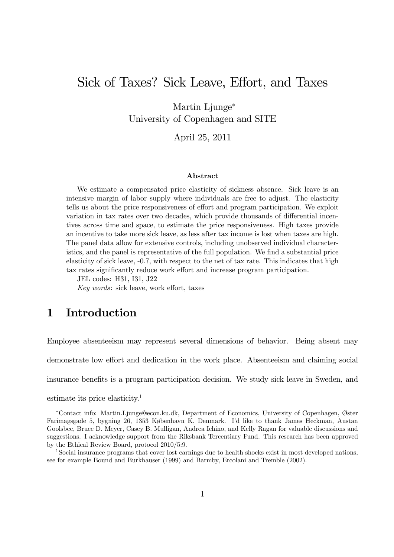# Sick of Taxes? Sick Leave, Effort, and Taxes

Martin Ljunge<sup>∗</sup> University of Copenhagen and SITE

April 25, 2011

#### Abstract

We estimate a compensated price elasticity of sickness absence. Sick leave is an intensive margin of labor supply where individuals are free to adjust. The elasticity tells us about the price responsiveness of effort and program participation. We exploit variation in tax rates over two decades, which provide thousands of differential incentives across time and space, to estimate the price responsiveness. High taxes provide an incentive to take more sick leave, as less after tax income is lost when taxes are high. The panel data allow for extensive controls, including unobserved individual characteristics, and the panel is representative of the full population. We find a substantial price elasticity of sick leave, -0.7, with respect to the net of tax rate. This indicates that high tax rates significantly reduce work effort and increase program participation.

JEL codes: H31, I31, J22

Key words: sick leave, work effort, taxes

### 1 Introduction

Employee absenteeism may represent several dimensions of behavior. Being absent may demonstrate low effort and dedication in the work place. Absenteeism and claiming social

insurance benefits is a program participation decision. We study sick leave in Sweden, and

estimate its price elasticity.1

<sup>∗</sup>Contact info: Martin.Ljunge@econ.ku.dk, Department of Economics, University of Copenhagen, Øster Farimagsgade 5, bygning 26, 1353 København K, Denmark. I'd like to thank James Heckman, Austan Goolsbee, Bruce D. Meyer, Casey B. Mulligan, Andrea Ichino, and Kelly Ragan for valuable discussions and suggestions. I acknowledge support from the Riksbank Tercentiary Fund. This research has been approved by the Ethical Review Board, protocol 2010/5:9.

<sup>1</sup>Social insurance programs that cover lost earnings due to health shocks exist in most developed nations, see for example Bound and Burkhauser (1999) and Barmby, Ercolani and Tremble (2002).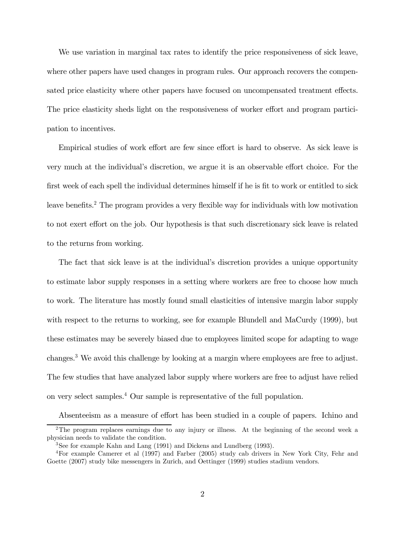We use variation in marginal tax rates to identify the price responsiveness of sick leave, where other papers have used changes in program rules. Our approach recovers the compensated price elasticity where other papers have focused on uncompensated treatment effects. The price elasticity sheds light on the responsiveness of worker effort and program participation to incentives.

Empirical studies of work effort are few since effort is hard to observe. As sick leave is very much at the individual's discretion, we argue it is an observable effort choice. For the first week of each spell the individual determines himself if he is fit to work or entitled to sick leave benefits.2 The program provides a very flexible way for individuals with low motivation to not exert effort on the job. Our hypothesis is that such discretionary sick leave is related to the returns from working.

The fact that sick leave is at the individual's discretion provides a unique opportunity to estimate labor supply responses in a setting where workers are free to choose how much to work. The literature has mostly found small elasticities of intensive margin labor supply with respect to the returns to working, see for example Blundell and MaCurdy (1999), but these estimates may be severely biased due to employees limited scope for adapting to wage changes.3 We avoid this challenge by looking at a margin where employees are free to adjust. The few studies that have analyzed labor supply where workers are free to adjust have relied on very select samples.4 Our sample is representative of the full population.

Absenteeism as a measure of effort has been studied in a couple of papers. Ichino and

<sup>&</sup>lt;sup>2</sup>The program replaces earnings due to any injury or illness. At the beginning of the second week a physician needs to validate the condition.

<sup>3</sup>See for example Kahn and Lang (1991) and Dickens and Lundberg (1993).

<sup>4</sup>For example Camerer et al (1997) and Farber (2005) study cab drivers in New York City, Fehr and Goette (2007) study bike messengers in Zurich, and Oettinger (1999) studies stadium vendors.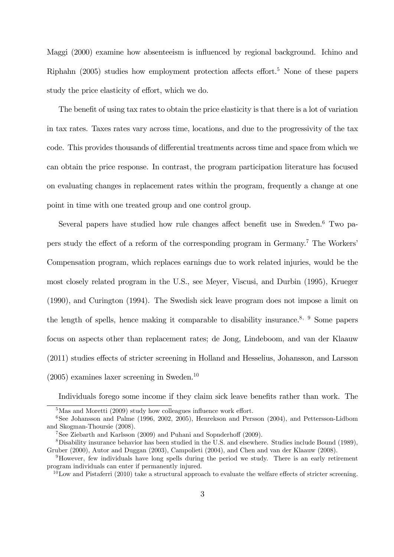Maggi (2000) examine how absenteeism is influenced by regional background. Ichino and Riphahn  $(2005)$  studies how employment protection affects effort.<sup>5</sup> None of these papers study the price elasticity of effort, which we do.

The benefit of using tax rates to obtain the price elasticity is that there is a lot of variation in tax rates. Taxes rates vary across time, locations, and due to the progressivity of the tax code. This provides thousands of differential treatments across time and space from which we can obtain the price response. In contrast, the program participation literature has focused on evaluating changes in replacement rates within the program, frequently a change at one point in time with one treated group and one control group.

Several papers have studied how rule changes affect benefit use in Sweden.<sup>6</sup> Two papers study the effect of a reform of the corresponding program in Germany.7 The Workers' Compensation program, which replaces earnings due to work related injuries, would be the most closely related program in the U.S., see Meyer, Viscusi, and Durbin (1995), Krueger (1990), and Curington (1994). The Swedish sick leave program does not impose a limit on the length of spells, hence making it comparable to disability insurance.<sup>8, 9</sup> Some papers focus on aspects other than replacement rates; de Jong, Lindeboom, and van der Klaauw (2011) studies effects of stricter screening in Holland and Hesselius, Johansson, and Larsson  $(2005)$  examines laxer screening in Sweden.<sup>10</sup>

Individuals forego some income if they claim sick leave benefits rather than work. The

<sup>&</sup>lt;sup>5</sup>Mas and Moretti (2009) study how colleagues influence work effort.

<sup>&</sup>lt;sup>6</sup>See Johansson and Palme (1996, 2002, 2005), Henrekson and Persson (2004), and Pettersson-Lidbom and Skogman-Thoursie (2008).

<sup>7</sup>See Ziebarth and Karlsson (2009) and Puhani and Sopnderhoff (2009).

<sup>8</sup>Disability insurance behavior has been studied in the U.S. and elsewhere. Studies include Bound (1989), Gruber (2000), Autor and Duggan (2003), Campolieti (2004), and Chen and van der Klaauw (2008).

<sup>9</sup>However, few individuals have long spells during the period we study. There is an early retirement program individuals can enter if permanently injured.

<sup>&</sup>lt;sup>10</sup>Low and Pistaferri (2010) take a structural approach to evaluate the welfare effects of stricter screening.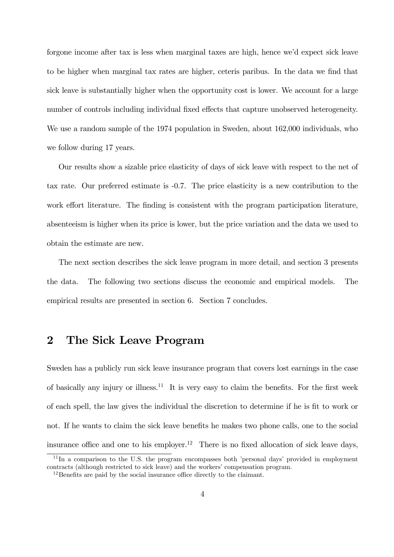forgone income after tax is less when marginal taxes are high, hence we'd expect sick leave to be higher when marginal tax rates are higher, ceteris paribus. In the data we find that sick leave is substantially higher when the opportunity cost is lower. We account for a large number of controls including individual fixed effects that capture unobserved heterogeneity. We use a random sample of the 1974 population in Sweden, about 162,000 individuals, who we follow during 17 years.

Our results show a sizable price elasticity of days of sick leave with respect to the net of tax rate. Our preferred estimate is -0.7. The price elasticity is a new contribution to the work effort literature. The finding is consistent with the program participation literature, absenteeism is higher when its price is lower, but the price variation and the data we used to obtain the estimate are new.

The next section describes the sick leave program in more detail, and section 3 presents the data. The following two sections discuss the economic and empirical models. The empirical results are presented in section 6. Section 7 concludes.

### 2 The Sick Leave Program

Sweden has a publicly run sick leave insurance program that covers lost earnings in the case of basically any injury or illness.<sup>11</sup> It is very easy to claim the benefits. For the first week of each spell, the law gives the individual the discretion to determine if he is fit to work or not. If he wants to claim the sick leave benefits he makes two phone calls, one to the social insurance office and one to his employer.<sup>12</sup> There is no fixed allocation of sick leave days,

<sup>&</sup>lt;sup>11</sup>In a comparison to the U.S. the program encompasses both 'personal days' provided in employment contracts (although restricted to sick leave) and the workers' compensation program.

<sup>&</sup>lt;sup>12</sup>Benefits are paid by the social insurance office directly to the claimant.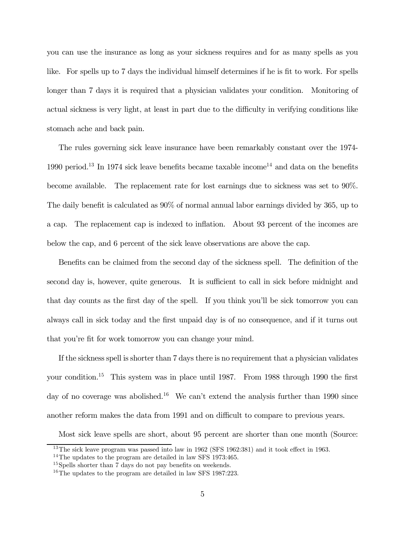you can use the insurance as long as your sickness requires and for as many spells as you like. For spells up to 7 days the individual himself determines if he is fit to work. For spells longer than 7 days it is required that a physician validates your condition. Monitoring of actual sickness is very light, at least in part due to the difficulty in verifying conditions like stomach ache and back pain.

The rules governing sick leave insurance have been remarkably constant over the 1974- 1990 period.<sup>13</sup> In 1974 sick leave benefits became taxable income<sup>14</sup> and data on the benefits become available. The replacement rate for lost earnings due to sickness was set to 90%. The daily benefit is calculated as 90% of normal annual labor earnings divided by 365, up to a cap. The replacement cap is indexed to inflation. About 93 percent of the incomes are below the cap, and 6 percent of the sick leave observations are above the cap.

Benefits can be claimed from the second day of the sickness spell. The definition of the second day is, however, quite generous. It is sufficient to call in sick before midnight and that day counts as the first day of the spell. If you think you'll be sick tomorrow you can always call in sick today and the first unpaid day is of no consequence, and if it turns out that you're fit for work tomorrow you can change your mind.

If the sickness spell is shorter than 7 days there is no requirement that a physician validates your condition.15 This system was in place until 1987. From 1988 through 1990 the first day of no coverage was abolished.<sup>16</sup> We can't extend the analysis further than 1990 since another reform makes the data from 1991 and on difficult to compare to previous years.

Most sick leave spells are short, about 95 percent are shorter than one month (Source:

<sup>&</sup>lt;sup>13</sup>The sick leave program was passed into law in 1962 (SFS 1962:381) and it took effect in 1963.

<sup>&</sup>lt;sup>14</sup>The updates to the program are detailed in law SFS 1973:465.

<sup>&</sup>lt;sup>15</sup>Spells shorter than 7 days do not pay benefits on weekends.

<sup>&</sup>lt;sup>16</sup>The updates to the program are detailed in law SFS 1987:223.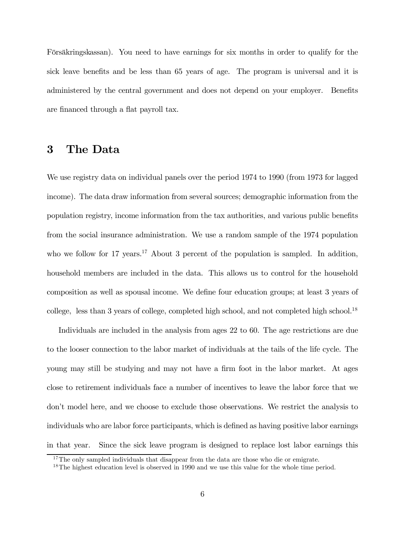Försäkringskassan). You need to have earnings for six months in order to qualify for the sick leave benefits and be less than 65 years of age. The program is universal and it is administered by the central government and does not depend on your employer. Benefits are financed through a flat payroll tax.

### 3 The Data

We use registry data on individual panels over the period 1974 to 1990 (from 1973 for lagged income). The data draw information from several sources; demographic information from the population registry, income information from the tax authorities, and various public benefits from the social insurance administration. We use a random sample of the 1974 population who we follow for 17 years.<sup>17</sup> About 3 percent of the population is sampled. In addition, household members are included in the data. This allows us to control for the household composition as well as spousal income. We define four education groups; at least 3 years of college, less than 3 years of college, completed high school, and not completed high school.18

Individuals are included in the analysis from ages 22 to 60. The age restrictions are due to the looser connection to the labor market of individuals at the tails of the life cycle. The young may still be studying and may not have a firm foot in the labor market. At ages close to retirement individuals face a number of incentives to leave the labor force that we don't model here, and we choose to exclude those observations. We restrict the analysis to individuals who are labor force participants, which is defined as having positive labor earnings in that year. Since the sick leave program is designed to replace lost labor earnings this

<sup>&</sup>lt;sup>17</sup>The only sampled individuals that disappear from the data are those who die or emigrate.

<sup>&</sup>lt;sup>18</sup>The highest education level is observed in 1990 and we use this value for the whole time period.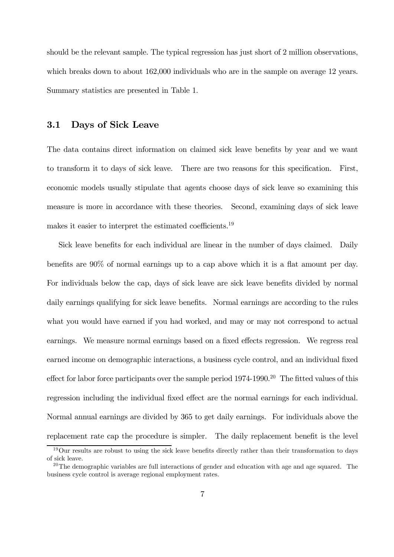should be the relevant sample. The typical regression has just short of 2 million observations, which breaks down to about  $162,000$  individuals who are in the sample on average 12 years. Summary statistics are presented in Table 1.

#### 3.1 Days of Sick Leave

The data contains direct information on claimed sick leave benefits by year and we want to transform it to days of sick leave. There are two reasons for this specification. First, economic models usually stipulate that agents choose days of sick leave so examining this measure is more in accordance with these theories. Second, examining days of sick leave makes it easier to interpret the estimated coefficients.19

Sick leave benefits for each individual are linear in the number of days claimed. Daily benefits are 90% of normal earnings up to a cap above which it is a flat amount per day. For individuals below the cap, days of sick leave are sick leave benefits divided by normal daily earnings qualifying for sick leave benefits. Normal earnings are according to the rules what you would have earned if you had worked, and may or may not correspond to actual earnings. We measure normal earnings based on a fixed effects regression. We regress real earned income on demographic interactions, a business cycle control, and an individual fixed effect for labor force participants over the sample period  $1974-1990$ .<sup>20</sup> The fitted values of this regression including the individual fixed effect are the normal earnings for each individual. Normal annual earnings are divided by 365 to get daily earnings. For individuals above the replacement rate cap the procedure is simpler. The daily replacement benefit is the level

<sup>&</sup>lt;sup>19</sup>Our results are robust to using the sick leave benefits directly rather than their transformation to days of sick leave.

 $20$ The demographic variables are full interactions of gender and education with age and age squared. The business cycle control is average regional employment rates.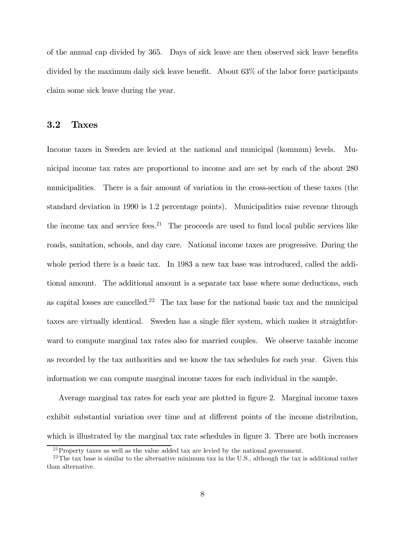of the annual cap divided by 365. Days of sick leave are then observed sick leave benefits divided by the maximum daily sick leave benefit. About 63% of the labor force participants claim some sick leave during the year.

#### 3.2 Taxes

Income taxes in Sweden are levied at the national and municipal (kommun) levels. Municipal income tax rates are proportional to income and are set by each of the about 280 municipalities. There is a fair amount of variation in the cross-section of these taxes (the standard deviation in 1990 is 1.2 percentage points). Municipalities raise revenue through the income tax and service fees.<sup>21</sup> The proceeds are used to fund local public services like roads, sanitation, schools, and day care. National income taxes are progressive. During the whole period there is a basic tax. In 1983 a new tax base was introduced, called the additional amount. The additional amount is a separate tax base where some deductions, such as capital losses are cancelled.<sup>22</sup> The tax base for the national basic tax and the municipal taxes are virtually identical. Sweden has a single filer system, which makes it straightforward to compute marginal tax rates also for married couples. We observe taxable income as recorded by the tax authorities and we know the tax schedules for each year. Given this information we can compute marginal income taxes for each individual in the sample.

Average marginal tax rates for each year are plotted in figure 2. Marginal income taxes exhibit substantial variation over time and at different points of the income distribution, which is illustrated by the marginal tax rate schedules in figure 3. There are both increases

<sup>&</sup>lt;sup>21</sup> Property taxes as well as the value added tax are levied by the national government.

<sup>&</sup>lt;sup>22</sup>The tax base is similar to the alternative minimum tax in the U.S., although the tax is additional rather than alternative.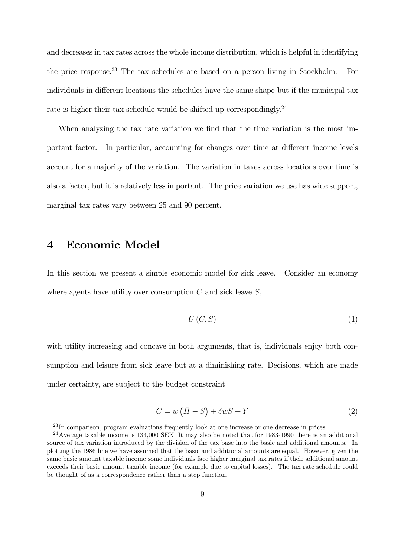and decreases in tax rates across the whole income distribution, which is helpful in identifying the price response.23 The tax schedules are based on a person living in Stockholm. For individuals in different locations the schedules have the same shape but if the municipal tax rate is higher their tax schedule would be shifted up correspondingly.<sup>24</sup>

When analyzing the tax rate variation we find that the time variation is the most important factor. In particular, accounting for changes over time at different income levels account for a majority of the variation. The variation in taxes across locations over time is also a factor, but it is relatively less important. The price variation we use has wide support, marginal tax rates vary between 25 and 90 percent.

### 4 Economic Model

In this section we present a simple economic model for sick leave. Consider an economy where agents have utility over consumption  $C$  and sick leave  $S$ ,

$$
U\left(C,S\right)\tag{1}
$$

with utility increasing and concave in both arguments, that is, individuals enjoy both consumption and leisure from sick leave but at a diminishing rate. Decisions, which are made under certainty, are subject to the budget constraint

$$
C = w\left(\bar{H} - S\right) + \delta w S + Y\tag{2}
$$

<sup>&</sup>lt;sup>23</sup>In comparison, program evaluations frequently look at one increase or one decrease in prices.

<sup>24</sup>Average taxable income is 134,000 SEK. It may also be noted that for 1983-1990 there is an additional source of tax variation introduced by the division of the tax base into the basic and additional amounts. In plotting the 1986 line we have assumed that the basic and additional amounts are equal. However, given the same basic amount taxable income some individuals face higher marginal tax rates if their additional amount exceeds their basic amount taxable income (for example due to capital losses). The tax rate schedule could be thought of as a correspondence rather than a step function.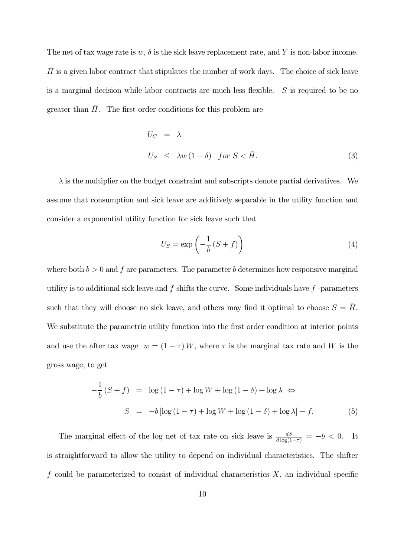The net of tax wage rate is  $w, \delta$  is the sick leave replacement rate, and Y is non-labor income.  $\bar{H}$  is a given labor contract that stipulates the number of work days. The choice of sick leave is a marginal decision while labor contracts are much less flexible.  $S$  is required to be no greater than  $H$ . The first order conditions for this problem are

$$
U_C = \lambda
$$
  
\n
$$
U_S \leq \lambda w (1 - \delta) \quad \text{for } S < \bar{H}.
$$
\n
$$
(3)
$$

 $\lambda$  is the multiplier on the budget constraint and subscripts denote partial derivatives. We assume that consumption and sick leave are additively separable in the utility function and consider a exponential utility function for sick leave such that

$$
U_S = \exp\left(-\frac{1}{b}(S+f)\right) \tag{4}
$$

where both  $b > 0$  and  $f$  are parameters. The parameter  $b$  determines how responsive marginal utility is to additional sick leave and  $f$  shifts the curve. Some individuals have  $f$  -parameters such that they will choose no sick leave, and others may find it optimal to choose  $S = \overline{H}$ . We substitute the parametric utility function into the first order condition at interior points and use the after tax wage  $w = (1 - \tau)W$ , where  $\tau$  is the marginal tax rate and W is the gross wage, to get

$$
-\frac{1}{b}(S+f) = \log(1-\tau) + \log W + \log(1-\delta) + \log \lambda \Leftrightarrow
$$
  

$$
S = -b[\log(1-\tau) + \log W + \log(1-\delta) + \log \lambda] - f.
$$
 (5)

The marginal effect of the log net of tax rate on sick leave is  $\frac{dS}{d \log(1-\tau)} = -b < 0$ . It is straightforward to allow the utility to depend on individual characteristics. The shifter  $f$  could be parameterized to consist of individual characteristics  $X$ , an individual specific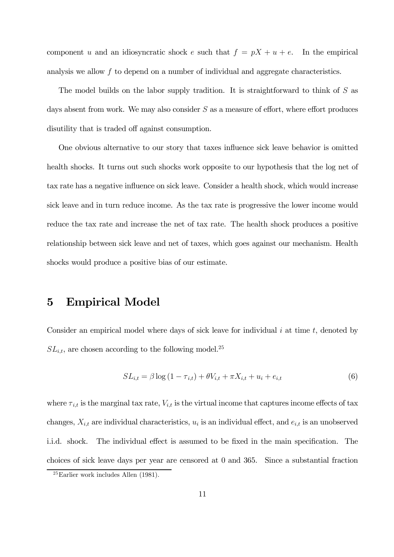component u and an idiosyncratic shock e such that  $f = pX + u + e$ . In the empirical analysis we allow  $f$  to depend on a number of individual and aggregate characteristics.

The model builds on the labor supply tradition. It is straightforward to think of  $S$  as days absent from work. We may also consider  $S$  as a measure of effort, where effort produces disutility that is traded off against consumption.

One obvious alternative to our story that taxes influence sick leave behavior is omitted health shocks. It turns out such shocks work opposite to our hypothesis that the log net of tax rate has a negative influence on sick leave. Consider a health shock, which would increase sick leave and in turn reduce income. As the tax rate is progressive the lower income would reduce the tax rate and increase the net of tax rate. The health shock produces a positive relationship between sick leave and net of taxes, which goes against our mechanism. Health shocks would produce a positive bias of our estimate.

### 5 Empirical Model

Consider an empirical model where days of sick leave for individual  $i$  at time  $t$ , denoted by  $SL_{i,t}$ , are chosen according to the following model.<sup>25</sup>

$$
SL_{i,t} = \beta \log (1 - \tau_{i,t}) + \theta V_{i,t} + \pi X_{i,t} + u_i + e_{i,t}
$$
 (6)

where  $\tau_{i,t}$  is the marginal tax rate,  $V_{i,t}$  is the virtual income that captures income effects of tax changes,  $X_{i,t}$  are individual characteristics,  $u_i$  is an individual effect, and  $e_{i,t}$  is an unobserved i.i.d. shock. The individual effect is assumed to be fixed in the main specification. The choices of sick leave days per year are censored at 0 and 365. Since a substantial fraction

 $^{25}$ Earlier work includes Allen (1981).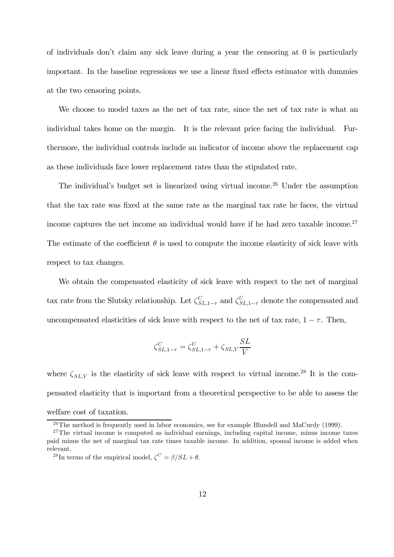of individuals don't claim any sick leave during a year the censoring at 0 is particularly important. In the baseline regressions we use a linear fixed effects estimator with dummies at the two censoring points.

We choose to model taxes as the net of tax rate, since the net of tax rate is what an individual takes home on the margin. It is the relevant price facing the individual. Furthermore, the individual controls include an indicator of income above the replacement cap as these individuals face lower replacement rates than the stipulated rate.

The individual's budget set is linearized using virtual income.<sup>26</sup> Under the assumption that the tax rate was fixed at the same rate as the marginal tax rate he faces, the virtual income captures the net income an individual would have if he had zero taxable income.<sup>27</sup> The estimate of the coefficient  $\theta$  is used to compute the income elasticity of sick leave with respect to tax changes.

We obtain the compensated elasticity of sick leave with respect to the net of marginal tax rate from the Slutsky relationship. Let  $\zeta_{SL,1-\tau}^C$  and  $\zeta_{SL,1-\tau}^U$  denote the compensated and uncompensated elasticities of sick leave with respect to the net of tax rate,  $1 - \tau$ . Then,

$$
\zeta_{SL,1-\tau}^C = \zeta_{SL,1-\tau}^U + \zeta_{SL,V} \frac{SL}{V}
$$

where  $\zeta_{SL,V}$  is the elasticity of sick leave with respect to virtual income.<sup>28</sup> It is the compensated elasticity that is important from a theoretical perspective to be able to assess the welfare cost of taxation.

<sup>&</sup>lt;sup>26</sup>The method is frequently used in labor economics, see for example Blundell and MaCurdy (1999).

 $27$ The virtual income is computed as individual earnings, including capital income, minus income taxes paid minus the net of marginal tax rate times taxable income. In addition, spousal income is added when relevant.

<sup>&</sup>lt;sup>28</sup>In terms of the empirical model,  $\zeta^C = \beta / SL + \theta$ .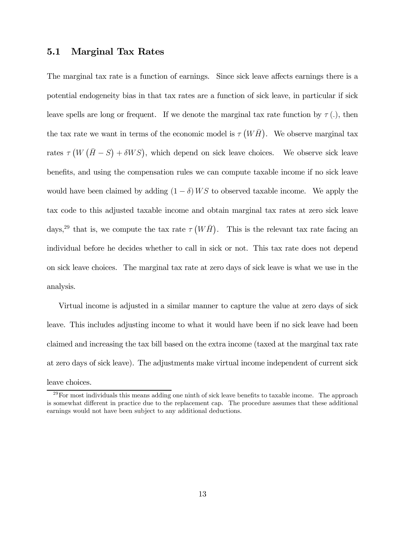#### 5.1 Marginal Tax Rates

The marginal tax rate is a function of earnings. Since sick leave affects earnings there is a potential endogeneity bias in that tax rates are a function of sick leave, in particular if sick leave spells are long or frequent. If we denote the marginal tax rate function by  $\tau(.)$ , then the tax rate we want in terms of the economic model is  $\tau(W\bar{H})$ . We observe marginal tax rates  $\tau(W(\overline{H}-S) + \delta WS)$ , which depend on sick leave choices. We observe sick leave benefits, and using the compensation rules we can compute taxable income if no sick leave would have been claimed by adding  $(1 - \delta) W S$  to observed taxable income. We apply the tax code to this adjusted taxable income and obtain marginal tax rates at zero sick leave days,<sup>29</sup> that is, we compute the tax rate  $\tau(W\bar{H})$ . This is the relevant tax rate facing an individual before he decides whether to call in sick or not. This tax rate does not depend on sick leave choices. The marginal tax rate at zero days of sick leave is what we use in the analysis.

Virtual income is adjusted in a similar manner to capture the value at zero days of sick leave. This includes adjusting income to what it would have been if no sick leave had been claimed and increasing the tax bill based on the extra income (taxed at the marginal tax rate at zero days of sick leave). The adjustments make virtual income independent of current sick leave choices.

 $^{29}$ For most individuals this means adding one ninth of sick leave benefits to taxable income. The approach is somewhat different in practice due to the replacement cap. The procedure assumes that these additional earnings would not have been subject to any additional deductions.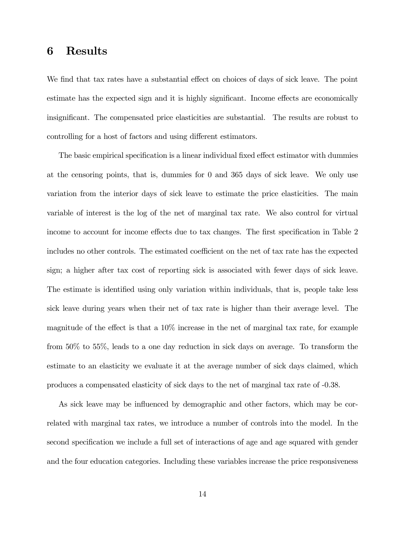### 6 Results

We find that tax rates have a substantial effect on choices of days of sick leave. The point estimate has the expected sign and it is highly significant. Income effects are economically insignificant. The compensated price elasticities are substantial. The results are robust to controlling for a host of factors and using different estimators.

The basic empirical specification is a linear individual fixed effect estimator with dummies at the censoring points, that is, dummies for 0 and 365 days of sick leave. We only use variation from the interior days of sick leave to estimate the price elasticities. The main variable of interest is the log of the net of marginal tax rate. We also control for virtual income to account for income effects due to tax changes. The first specification in Table 2 includes no other controls. The estimated coefficient on the net of tax rate has the expected sign; a higher after tax cost of reporting sick is associated with fewer days of sick leave. The estimate is identified using only variation within individuals, that is, people take less sick leave during years when their net of tax rate is higher than their average level. The magnitude of the effect is that a 10% increase in the net of marginal tax rate, for example from 50% to 55%, leads to a one day reduction in sick days on average. To transform the estimate to an elasticity we evaluate it at the average number of sick days claimed, which produces a compensated elasticity of sick days to the net of marginal tax rate of -0.38.

As sick leave may be influenced by demographic and other factors, which may be correlated with marginal tax rates, we introduce a number of controls into the model. In the second specification we include a full set of interactions of age and age squared with gender and the four education categories. Including these variables increase the price responsiveness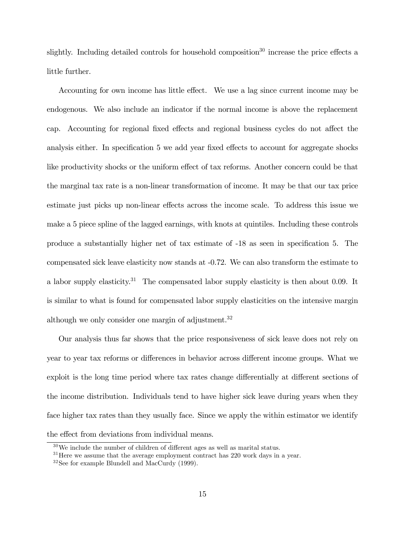slightly. Including detailed controls for household composition<sup>30</sup> increase the price effects a little further.

Accounting for own income has little effect. We use a lag since current income may be endogenous. We also include an indicator if the normal income is above the replacement cap. Accounting for regional fixed effects and regional business cycles do not affect the analysis either. In specification 5 we add year fixed effects to account for aggregate shocks like productivity shocks or the uniform effect of tax reforms. Another concern could be that the marginal tax rate is a non-linear transformation of income. It may be that our tax price estimate just picks up non-linear effects across the income scale. To address this issue we make a 5 piece spline of the lagged earnings, with knots at quintiles. Including these controls produce a substantially higher net of tax estimate of -18 as seen in specification 5. The compensated sick leave elasticity now stands at -0.72. We can also transform the estimate to a labor supply elasticity.<sup>31</sup> The compensated labor supply elasticity is then about 0.09. It is similar to what is found for compensated labor supply elasticities on the intensive margin although we only consider one margin of adjustment.<sup>32</sup>

Our analysis thus far shows that the price responsiveness of sick leave does not rely on year to year tax reforms or differences in behavior across different income groups. What we exploit is the long time period where tax rates change differentially at different sections of the income distribution. Individuals tend to have higher sick leave during years when they face higher tax rates than they usually face. Since we apply the within estimator we identify the effect from deviations from individual means.

 $30\,\text{We}$  include the number of children of different ages as well as marital status.

 $31$  Here we assume that the average employment contract has  $220$  work days in a year.

<sup>32</sup>See for example Blundell and MacCurdy (1999).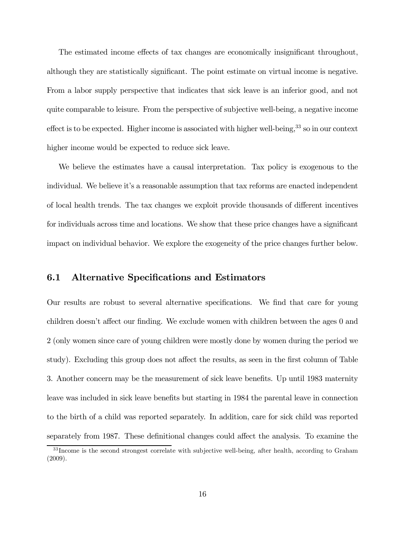The estimated income effects of tax changes are economically insignificant throughout, although they are statistically significant. The point estimate on virtual income is negative. From a labor supply perspective that indicates that sick leave is an inferior good, and not quite comparable to leisure. From the perspective of subjective well-being, a negative income effect is to be expected. Higher income is associated with higher well-being,  $33$  so in our context higher income would be expected to reduce sick leave.

We believe the estimates have a causal interpretation. Tax policy is exogenous to the individual. We believe it's a reasonable assumption that tax reforms are enacted independent of local health trends. The tax changes we exploit provide thousands of different incentives for individuals across time and locations. We show that these price changes have a significant impact on individual behavior. We explore the exogeneity of the price changes further below.

#### 6.1 Alternative Specifications and Estimators

Our results are robust to several alternative specifications. We find that care for young children doesn't affect our finding. We exclude women with children between the ages 0 and 2 (only women since care of young children were mostly done by women during the period we study). Excluding this group does not affect the results, as seen in the first column of Table 3. Another concern may be the measurement of sick leave benefits. Up until 1983 maternity leave was included in sick leave benefits but starting in 1984 the parental leave in connection to the birth of a child was reported separately. In addition, care for sick child was reported separately from 1987. These definitional changes could affect the analysis. To examine the

<sup>&</sup>lt;sup>33</sup> Income is the second strongest correlate with subjective well-being, after health, according to Graham (2009).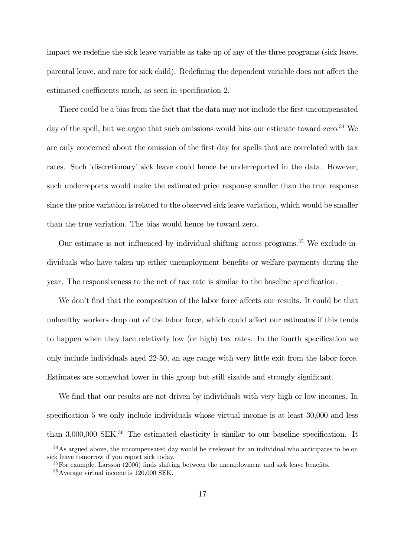impact we redefine the sick leave variable as take up of any of the three programs (sick leave, parental leave, and care for sick child). Redefining the dependent variable does not affect the estimated coefficients much, as seen in specification 2.

There could be a bias from the fact that the data may not include the first uncompensated day of the spell, but we argue that such omissions would bias our estimate toward zero.<sup>34</sup> We are only concerned about the omission of the first day for spells that are correlated with tax rates. Such 'discretionary' sick leave could hence be underreported in the data. However, such underreports would make the estimated price response smaller than the true response since the price variation is related to the observed sick leave variation, which would be smaller than the true variation. The bias would hence be toward zero.

Our estimate is not influenced by individual shifting across programs.<sup>35</sup> We exclude individuals who have taken up either unemployment benefits or welfare payments during the year. The responsiveness to the net of tax rate is similar to the baseline specification.

We don't find that the composition of the labor force affects our results. It could be that unhealthy workers drop out of the labor force, which could affect our estimates if this tends to happen when they face relatively low (or high) tax rates. In the fourth specification we only include individuals aged 22-50, an age range with very little exit from the labor force. Estimates are somewhat lower in this group but still sizable and strongly significant.

We find that our results are not driven by individuals with very high or low incomes. In specification 5 we only include individuals whose virtual income is at least 30,000 and less than 3,000,000 SEK.<sup>36</sup> The estimated elasticity is similar to our baseline specification. It

<sup>34</sup>As argued above, the uncompensated day would be irrelevant for an individual who anticipates to be on sick leave tomorrow if you report sick today.

<sup>&</sup>lt;sup>35</sup>For example, Larsson (2006) finds shifting between the unemployment and sick leave benefits.

<sup>36</sup>Average virtual income is 120,000 SEK.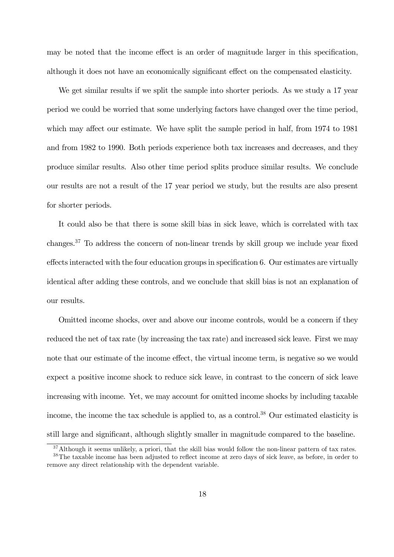may be noted that the income effect is an order of magnitude larger in this specification, although it does not have an economically significant effect on the compensated elasticity.

We get similar results if we split the sample into shorter periods. As we study a 17 year period we could be worried that some underlying factors have changed over the time period, which may affect our estimate. We have split the sample period in half, from 1974 to 1981 and from 1982 to 1990. Both periods experience both tax increases and decreases, and they produce similar results. Also other time period splits produce similar results. We conclude our results are not a result of the 17 year period we study, but the results are also present for shorter periods.

It could also be that there is some skill bias in sick leave, which is correlated with tax changes.37 To address the concern of non-linear trends by skill group we include year fixed effects interacted with the four education groups in specification 6. Our estimates are virtually identical after adding these controls, and we conclude that skill bias is not an explanation of our results.

Omitted income shocks, over and above our income controls, would be a concern if they reduced the net of tax rate (by increasing the tax rate) and increased sick leave. First we may note that our estimate of the income effect, the virtual income term, is negative so we would expect a positive income shock to reduce sick leave, in contrast to the concern of sick leave increasing with income. Yet, we may account for omitted income shocks by including taxable income, the income the tax schedule is applied to, as a control.<sup>38</sup> Our estimated elasticity is still large and significant, although slightly smaller in magnitude compared to the baseline.

<sup>&</sup>lt;sup>37</sup>Although it seems unlikely, a priori, that the skill bias would follow the non-linear pattern of tax rates.

<sup>38</sup>The taxable income has been adjusted to reflect income at zero days of sick leave, as before, in order to remove any direct relationship with the dependent variable.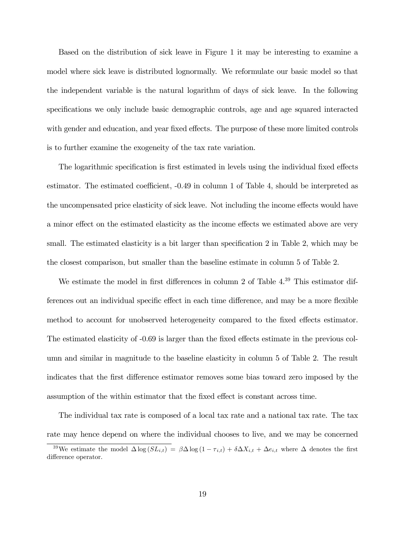Based on the distribution of sick leave in Figure 1 it may be interesting to examine a model where sick leave is distributed lognormally. We reformulate our basic model so that the independent variable is the natural logarithm of days of sick leave. In the following specifications we only include basic demographic controls, age and age squared interacted with gender and education, and year fixed effects. The purpose of these more limited controls is to further examine the exogeneity of the tax rate variation.

The logarithmic specification is first estimated in levels using the individual fixed effects estimator. The estimated coefficient, -0.49 in column 1 of Table 4, should be interpreted as the uncompensated price elasticity of sick leave. Not including the income effects would have a minor effect on the estimated elasticity as the income effects we estimated above are very small. The estimated elasticity is a bit larger than specification 2 in Table 2, which may be the closest comparison, but smaller than the baseline estimate in column 5 of Table 2.

We estimate the model in first differences in column 2 of Table  $4^{39}$  This estimator differences out an individual specific effect in each time difference, and may be a more flexible method to account for unobserved heterogeneity compared to the fixed effects estimator. The estimated elasticity of -0.69 is larger than the fixed effects estimate in the previous column and similar in magnitude to the baseline elasticity in column 5 of Table 2. The result indicates that the first difference estimator removes some bias toward zero imposed by the assumption of the within estimator that the fixed effect is constant across time.

The individual tax rate is composed of a local tax rate and a national tax rate. The tax rate may hence depend on where the individual chooses to live, and we may be concerned <sup>39</sup>We estimate the model  $\Delta \log (SL_{i,t}) = \beta \Delta \log (1 - \tau_{i,t}) + \delta \Delta X_{i,t} + \Delta e_{i,t}$  where  $\Delta$  denotes the first difference operator.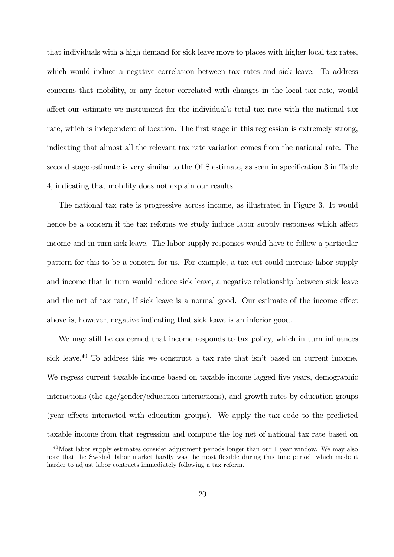that individuals with a high demand for sick leave move to places with higher local tax rates, which would induce a negative correlation between tax rates and sick leave. To address concerns that mobility, or any factor correlated with changes in the local tax rate, would affect our estimate we instrument for the individual's total tax rate with the national tax rate, which is independent of location. The first stage in this regression is extremely strong, indicating that almost all the relevant tax rate variation comes from the national rate. The second stage estimate is very similar to the OLS estimate, as seen in specification 3 in Table 4, indicating that mobility does not explain our results.

The national tax rate is progressive across income, as illustrated in Figure 3. It would hence be a concern if the tax reforms we study induce labor supply responses which affect income and in turn sick leave. The labor supply responses would have to follow a particular pattern for this to be a concern for us. For example, a tax cut could increase labor supply and income that in turn would reduce sick leave, a negative relationship between sick leave and the net of tax rate, if sick leave is a normal good. Our estimate of the income effect above is, however, negative indicating that sick leave is an inferior good.

We may still be concerned that income responds to tax policy, which in turn influences sick leave.<sup>40</sup> To address this we construct a tax rate that isn't based on current income. We regress current taxable income based on taxable income lagged five years, demographic interactions (the age/gender/education interactions), and growth rates by education groups (year effects interacted with education groups). We apply the tax code to the predicted taxable income from that regression and compute the log net of national tax rate based on

<sup>40</sup>Most labor supply estimates consider adjustment periods longer than our 1 year window. We may also note that the Swedish labor market hardly was the most flexible during this time period, which made it harder to adjust labor contracts immediately following a tax reform.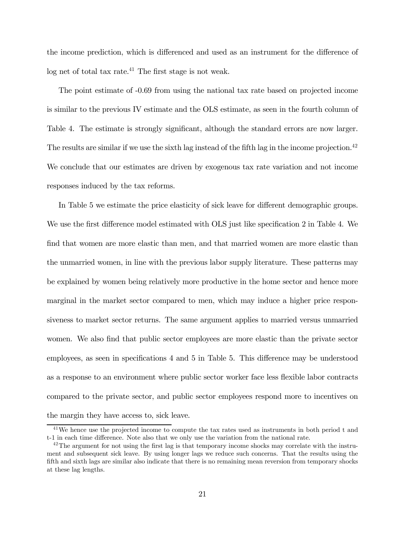the income prediction, which is differenced and used as an instrument for the difference of  $\log$  net of total tax rate.<sup>41</sup> The first stage is not weak.

The point estimate of -0.69 from using the national tax rate based on projected income is similar to the previous IV estimate and the OLS estimate, as seen in the fourth column of Table 4. The estimate is strongly significant, although the standard errors are now larger. The results are similar if we use the sixth lag instead of the fifth lag in the income projection.<sup>42</sup> We conclude that our estimates are driven by exogenous tax rate variation and not income responses induced by the tax reforms.

In Table 5 we estimate the price elasticity of sick leave for different demographic groups. We use the first difference model estimated with OLS just like specification 2 in Table 4. We find that women are more elastic than men, and that married women are more elastic than the unmarried women, in line with the previous labor supply literature. These patterns may be explained by women being relatively more productive in the home sector and hence more marginal in the market sector compared to men, which may induce a higher price responsiveness to market sector returns. The same argument applies to married versus unmarried women. We also find that public sector employees are more elastic than the private sector employees, as seen in specifications 4 and 5 in Table 5. This difference may be understood as a response to an environment where public sector worker face less flexible labor contracts compared to the private sector, and public sector employees respond more to incentives on the margin they have access to, sick leave.

<sup>41</sup>We hence use the projected income to compute the tax rates used as instruments in both period t and t-1 in each time difference. Note also that we only use the variation from the national rate.

<sup>&</sup>lt;sup>42</sup>The argument for not using the first lag is that temporary income shocks may correlate with the instrument and subsequent sick leave. By using longer lags we reduce such concerns. That the results using the fifth and sixth lags are similar also indicate that there is no remaining mean reversion from temporary shocks at these lag lengths.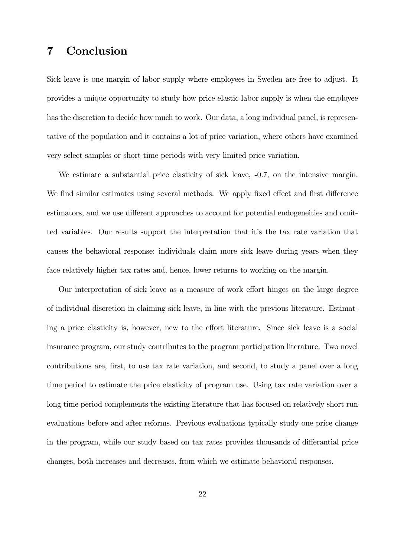## 7 Conclusion

Sick leave is one margin of labor supply where employees in Sweden are free to adjust. It provides a unique opportunity to study how price elastic labor supply is when the employee has the discretion to decide how much to work. Our data, a long individual panel, is representative of the population and it contains a lot of price variation, where others have examined very select samples or short time periods with very limited price variation.

We estimate a substantial price elasticity of sick leave,  $-0.7$ , on the intensive margin. We find similar estimates using several methods. We apply fixed effect and first difference estimators, and we use different approaches to account for potential endogeneities and omitted variables. Our results support the interpretation that it's the tax rate variation that causes the behavioral response; individuals claim more sick leave during years when they face relatively higher tax rates and, hence, lower returns to working on the margin.

Our interpretation of sick leave as a measure of work effort hinges on the large degree of individual discretion in claiming sick leave, in line with the previous literature. Estimating a price elasticity is, however, new to the effort literature. Since sick leave is a social insurance program, our study contributes to the program participation literature. Two novel contributions are, first, to use tax rate variation, and second, to study a panel over a long time period to estimate the price elasticity of program use. Using tax rate variation over a long time period complements the existing literature that has focused on relatively short run evaluations before and after reforms. Previous evaluations typically study one price change in the program, while our study based on tax rates provides thousands of differantial price changes, both increases and decreases, from which we estimate behavioral responses.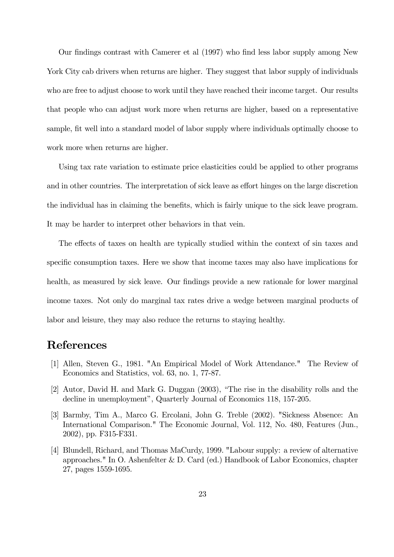Our findings contrast with Camerer et al (1997) who find less labor supply among New York City cab drivers when returns are higher. They suggest that labor supply of individuals who are free to adjust choose to work until they have reached their income target. Our results that people who can adjust work more when returns are higher, based on a representative sample, fit well into a standard model of labor supply where individuals optimally choose to work more when returns are higher.

Using tax rate variation to estimate price elasticities could be applied to other programs and in other countries. The interpretation of sick leave as effort hinges on the large discretion the individual has in claiming the benefits, which is fairly unique to the sick leave program. It may be harder to interpret other behaviors in that vein.

The effects of taxes on health are typically studied within the context of sin taxes and specific consumption taxes. Here we show that income taxes may also have implications for health, as measured by sick leave. Our findings provide a new rationale for lower marginal income taxes. Not only do marginal tax rates drive a wedge between marginal products of labor and leisure, they may also reduce the returns to staying healthy.

## References

- [1] Allen, Steven G., 1981. "An Empirical Model of Work Attendance." The Review of Economics and Statistics, vol. 63, no. 1, 77-87.
- [2] Autor, David H. and Mark G. Duggan (2003), "The rise in the disability rolls and the decline in unemployment", Quarterly Journal of Economics 118, 157-205.
- [3] Barmby, Tim A., Marco G. Ercolani, John G. Treble (2002). "Sickness Absence: An International Comparison." The Economic Journal, Vol. 112, No. 480, Features (Jun., 2002), pp. F315-F331.
- [4] Blundell, Richard, and Thomas MaCurdy, 1999. "Labour supply: a review of alternative approaches." In O. Ashenfelter & D. Card (ed.) Handbook of Labor Economics, chapter 27, pages 1559-1695.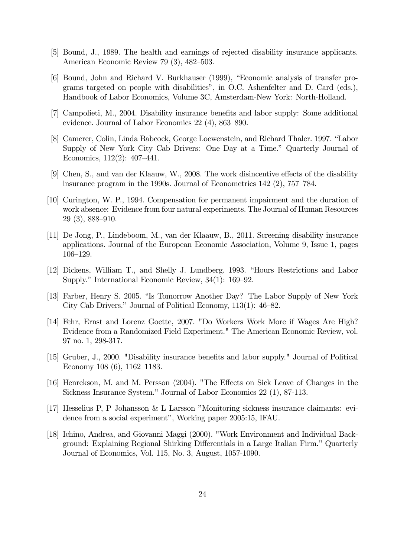- [5] Bound, J., 1989. The health and earnings of rejected disability insurance applicants. American Economic Review 79 (3), 482—503.
- [6] Bound, John and Richard V. Burkhauser (1999), "Economic analysis of transfer programs targeted on people with disabilities", in O.C. Ashenfelter and D. Card (eds.), Handbook of Labor Economics, Volume 3C, Amsterdam-New York: North-Holland.
- [7] Campolieti, M., 2004. Disability insurance benefits and labor supply: Some additional evidence. Journal of Labor Economics 22 (4), 863—890.
- [8] Camerer, Colin, Linda Babcock, George Loewenstein, and Richard Thaler. 1997. "Labor Supply of New York City Cab Drivers: One Day at a Time." Quarterly Journal of Economics, 112(2): 407—441.
- [9] Chen, S., and van der Klaauw, W., 2008. The work disincentive effects of the disability insurance program in the 1990s. Journal of Econometrics 142 (2), 757—784.
- [10] Curington, W. P., 1994. Compensation for permanent impairment and the duration of work absence: Evidence from four natural experiments. The Journal of Human Resources 29 (3), 888—910.
- [11] De Jong, P., Lindeboom, M., van der Klaauw, B., 2011. Screening disability insurance applications. Journal of the European Economic Association, Volume 9, Issue 1, pages 106—129.
- [12] Dickens, William T., and Shelly J. Lundberg. 1993. "Hours Restrictions and Labor Supply." International Economic Review, 34(1): 169—92.
- [13] Farber, Henry S. 2005. "Is Tomorrow Another Day? The Labor Supply of New York City Cab Drivers." Journal of Political Economy, 113(1): 46—82.
- [14] Fehr, Ernst and Lorenz Goette, 2007. "Do Workers Work More if Wages Are High? Evidence from a Randomized Field Experiment." The American Economic Review, vol. 97 no. 1, 298-317.
- [15] Gruber, J., 2000. "Disability insurance benefits and labor supply." Journal of Political Economy 108 (6), 1162—1183.
- [16] Henrekson, M. and M. Persson (2004). "The Effects on Sick Leave of Changes in the Sickness Insurance System." Journal of Labor Economics 22 (1), 87-113.
- [17] Hesselius P, P Johansson & L Larsson "Monitoring sickness insurance claimants: evidence from a social experiment", Working paper 2005:15, IFAU.
- [18] Ichino, Andrea, and Giovanni Maggi (2000). "Work Environment and Individual Background: Explaining Regional Shirking Differentials in a Large Italian Firm." Quarterly Journal of Economics, Vol. 115, No. 3, August, 1057-1090.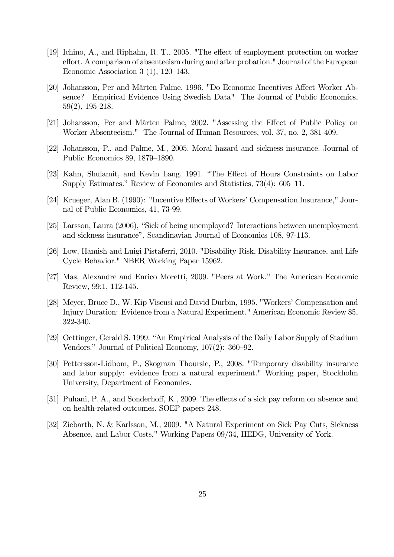- [19] Ichino, A., and Riphahn, R. T., 2005. "The effect of employment protection on worker effort. A comparison of absenteeism during and after probation." Journal of the European Economic Association 3 (1), 120—143.
- [20] Johansson, Per and Mårten Palme, 1996. "Do Economic Incentives Affect Worker Absence? Empirical Evidence Using Swedish Data" The Journal of Public Economics, 59(2), 195-218.
- [21] Johansson, Per and Mårten Palme, 2002. "Assessing the Effect of Public Policy on Worker Absenteeism." The Journal of Human Resources, vol. 37, no. 2, 381-409.
- [22] Johansson, P., and Palme, M., 2005. Moral hazard and sickness insurance. Journal of Public Economics 89, 1879—1890.
- [23] Kahn, Shulamit, and Kevin Lang. 1991. "The Effect of Hours Constraints on Labor Supply Estimates." Review of Economics and Statistics, 73(4): 605—11.
- [24] Krueger, Alan B. (1990): "Incentive Effects of Workers' Compensation Insurance," Journal of Public Economics, 41, 73-99.
- [25] Larsson, Laura (2006), "Sick of being unemployed? Interactions between unemployment and sickness insurance", Scandinavian Journal of Economics 108, 97-113.
- [26] Low, Hamish and Luigi Pistaferri, 2010. "Disability Risk, Disability Insurance, and Life Cycle Behavior." NBER Working Paper 15962.
- [27] Mas, Alexandre and Enrico Moretti, 2009. "Peers at Work." The American Economic Review, 99:1, 112-145.
- [28] Meyer, Bruce D., W. Kip Viscusi and David Durbin, 1995. "Workers' Compensation and Injury Duration: Evidence from a Natural Experiment." American Economic Review 85, 322-340.
- [29] Oettinger, Gerald S. 1999. "An Empirical Analysis of the Daily Labor Supply of Stadium Vendors." Journal of Political Economy, 107(2): 360—92.
- [30] Pettersson-Lidbom, P., Skogman Thoursie, P., 2008. "Temporary disability insurance and labor supply: evidence from a natural experiment." Working paper, Stockholm University, Department of Economics.
- [31] Puhani, P. A., and Sonderhoff, K., 2009. The effects of a sick pay reform on absence and on health-related outcomes. SOEP papers 248.
- [32] Ziebarth, N. & Karlsson, M., 2009. "A Natural Experiment on Sick Pay Cuts, Sickness Absence, and Labor Costs," Working Papers 09/34, HEDG, University of York.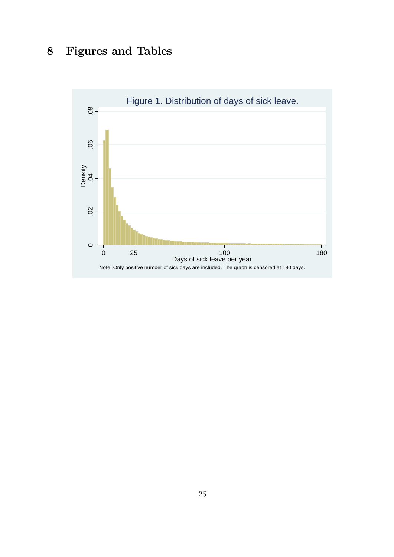# 8 Figures and Tables

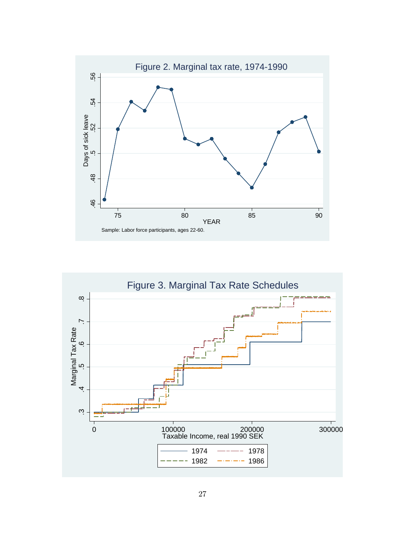

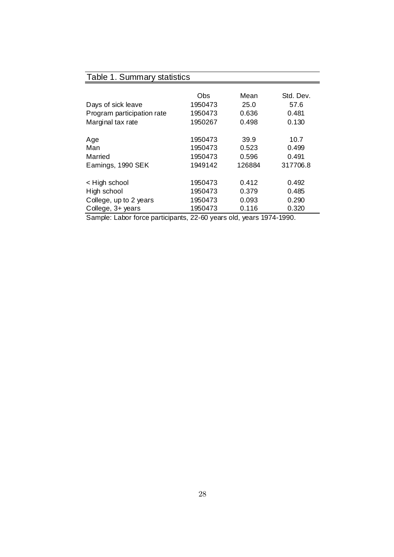## Table 1. Summary statistics

|                                        | Obs     | Mean                           | Std. Dev. |
|----------------------------------------|---------|--------------------------------|-----------|
| Days of sick leave                     | 1950473 | 25.0                           | 57.6      |
| Program participation rate             | 1950473 | 0.636                          | 0.481     |
| Marginal tax rate                      | 1950267 | 0.498                          | 0.130     |
|                                        |         |                                |           |
| Age                                    | 1950473 | 39.9                           | 10.7      |
| Man                                    | 1950473 | 0.523                          | 0.499     |
| Married                                | 1950473 | 0.596                          | 0.491     |
| Earnings, 1990 SEK                     | 1949142 | 126884                         | 317706.8  |
| < High school                          | 1950473 | 0.412                          | 0.492     |
| High school                            | 1950473 | 0.379                          | 0.485     |
|                                        |         |                                |           |
| College, up to 2 years                 | 1950473 | 0.093                          | 0.290     |
| College, 3+ years                      | 1950473 | 0.116                          | 0.320     |
| Completed of the forest positions of a |         | $22.00 \times 10^{-14}$ $1000$ |           |

Sample: Labor force participants, 22-60 years old, years 1974-1990.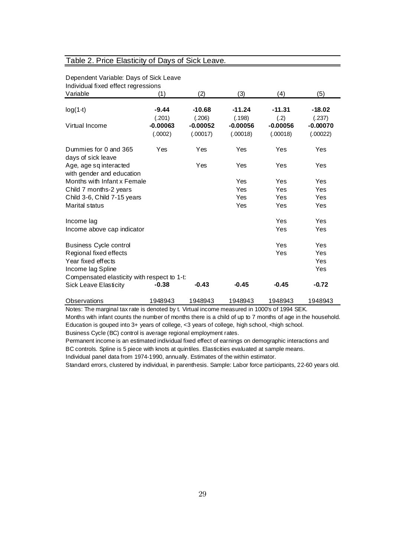### Table 2. Price Elasticity of Days of Sick Leave.

| Individual fixed effect regressions                                         |                       |                        |                        |                        |                        |
|-----------------------------------------------------------------------------|-----------------------|------------------------|------------------------|------------------------|------------------------|
| Variable                                                                    | (1)                   | (2)                    | (3)                    | (4)                    | (5)                    |
| $log(1-t)$                                                                  | $-9.44$<br>(.201)     | $-10.68$<br>(.206)     | $-11.24$<br>(.198)     | $-11.31$<br>(.2)       | $-18.02$<br>(.237)     |
| Virtual Income                                                              | $-0.00063$<br>(.0002) | $-0.00052$<br>(.00017) | $-0.00056$<br>(.00018) | $-0.00056$<br>(.00018) | $-0.00070$<br>(.00022) |
| Dummies for 0 and 365<br>days of sick leave                                 | Yes                   | Yes                    | Yes                    | Yes                    | Yes                    |
| Age, age sq interacted<br>with gender and education                         |                       | Yes                    | Yes                    | Yes                    | Yes                    |
| Months with Infant x Female                                                 |                       |                        | Yes                    | Yes                    | Yes                    |
| Child 7 months-2 years                                                      |                       |                        | Yes                    | Yes                    | Yes                    |
| Child 3-6, Child 7-15 years                                                 |                       |                        | Yes                    | Yes                    | Yes                    |
| Marital status                                                              |                       |                        | Yes                    | Yes                    | Yes                    |
| Income lag                                                                  |                       |                        |                        | Yes                    | Yes                    |
| Income above cap indicator                                                  |                       |                        |                        | Yes                    | Yes                    |
| <b>Business Cycle control</b>                                               |                       |                        |                        | Yes                    | Yes                    |
| Regional fixed effects                                                      |                       |                        |                        | Yes                    | Yes                    |
| Year fixed effects                                                          |                       |                        |                        |                        | Yes                    |
| Income lag Spline                                                           |                       |                        |                        |                        | Yes                    |
| Compensated elasticity with respect to 1-t:<br><b>Sick Leave Elasticity</b> | $-0.38$               | $-0.43$                | $-0.45$                | $-0.45$                | $-0.72$                |
| <b>Observations</b>                                                         | 1948943               | 1948943                | 1948943                | 1948943                | 1948943                |

# Dependent Variable: Days of Sick Leave

Notes: The marginal tax rate is denoted by t. Virtual income measured in 1000's of 1994 SEK.

Months with infant counts the number of months there is a child of up to 7 months of age in the household. Education is gouped into 3+ years of college, <3 years of college, high school, <high school.

Business Cycle (BC) control is average regional employment rates.

Permanent income is an estimated individual fixed effect of earnings on demographic interactions and BC controls. Spline is 5 piece with knots at quintiles. Elasticities evaluated at sample means. Individual panel data from 1974-1990, annually. Estimates of the within estimator.

Standard errors, clustered by individual, in parenthesis. Sample: Labor force participants, 22-60 years old.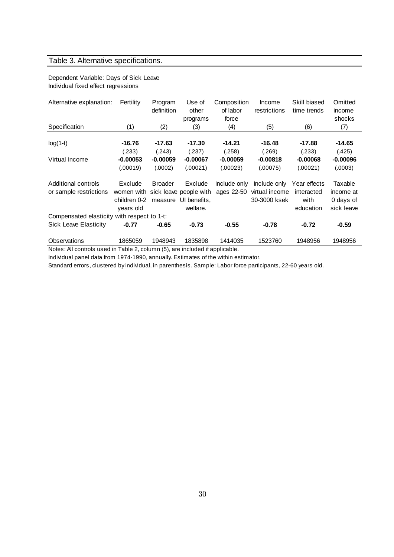## Table 3. Alternative specifications.

#### Dependent Variable: Days of Sick Leave Individual fixed effect regressions

| Alternative explanation:                    | Fertility    | Program<br>definition | Use of<br>other<br>programs | Composition<br>of labor<br>force | Income<br>restrictions | Skill biased<br>time trends | Omitted<br>income<br>shocks |
|---------------------------------------------|--------------|-----------------------|-----------------------------|----------------------------------|------------------------|-----------------------------|-----------------------------|
| Specification                               | (1)          | (2)                   | (3)                         | (4)                              | (5)                    | (6)                         | (7)                         |
| $log(1-t)$                                  | $-16.76$     | $-17.63$              | -17.30                      | $-14.21$                         | $-16.48$               | $-17.88$                    | $-14.65$                    |
|                                             | (.233)       | (.243)                | (.237)                      | (.258)                           | (.269)                 | (.233)                      | (.425)                      |
| Virtual Income                              | $-0.00053$   | $-0.00059$            | $-0.00067$                  | $-0.00059$                       | $-0.00818$             | $-0.00068$                  | $-0.00096$                  |
|                                             | (.00019)     | (.0002)               | (.00021)                    | (.00023)                         | (.00075)               | (.00021)                    | (.0003)                     |
| Additional controls                         | Exclude      | <b>Broader</b>        | Exclude                     | Include only                     | Include only           | Year effects                | Taxable                     |
| or sample restrictions                      | women with   |                       | sick leave people with      | ages 22-50                       | virtual income         | interacted                  | income at                   |
|                                             | children 0-2 | measure               | UI benefits.                |                                  | 30-3000 ksek           | with                        | 0 days of                   |
|                                             | years old    |                       | welfare.                    |                                  |                        | education                   | sick leave                  |
| Compensated elasticity with respect to 1-t: |              |                       |                             |                                  |                        |                             |                             |
| <b>Sick Leave Elasticity</b>                | $-0.77$      | $-0.65$               | $-0.73$                     | $-0.55$                          | $-0.78$                | $-0.72$                     | $-0.59$                     |
| Observations                                | 1865059      | 1948943               | 1835898                     | 1414035                          | 1523760                | 1948956                     | 1948956                     |

Notes: All controls used in Table 2, column (5), are included if applicable.

Individual panel data from 1974-1990, annually. Estimates of the within estimator.

Standard errors, clustered by individual, in parenthesis. Sample: Labor force participants, 22-60 years old.